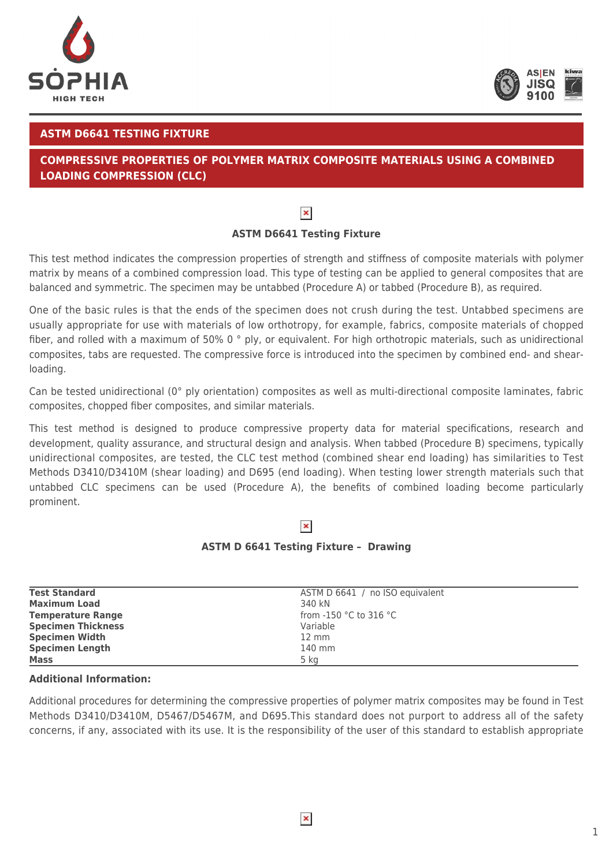



## **ASTM D6641 TESTING FIXTURE**

# **COMPRESSIVE PROPERTIES OF POLYMER MATRIX COMPOSITE MATERIALS USING A COMBINED LOADING COMPRESSION (CLC)**

# $\pmb{\times}$

## **ASTM D6641 Testing Fixture**

This test method indicates the compression properties of strength and stiffness of composite materials with polymer matrix by means of a combined compression load. This type of testing can be applied to general composites that are balanced and symmetric. The specimen may be untabbed (Procedure A) or tabbed (Procedure B), as required.

One of the basic rules is that the ends of the specimen does not crush during the test. Untabbed specimens are usually appropriate for use with materials of low orthotropy, for example, fabrics, composite materials of chopped fiber, and rolled with a maximum of 50% 0 ° ply, or equivalent. For high orthotropic materials, such as unidirectional composites, tabs are requested. The compressive force is introduced into the specimen by combined end- and shearloading.

Can be tested unidirectional (0° ply orientation) composites as well as multi-directional composite laminates, fabric composites, chopped fiber composites, and similar materials.

This test method is designed to produce compressive property data for material specifications, research and development, quality assurance, and structural design and analysis. When tabbed (Procedure B) specimens, typically unidirectional composites, are tested, the CLC test method (combined shear end loading) has similarities to Test Methods D3410/D3410M (shear loading) and D695 (end loading). When testing lower strength materials such that untabbed CLC specimens can be used (Procedure A), the benefits of combined loading become particularly prominent.

# $\pmb{\times}$

### **ASTM D 6641 Testing Fixture – Drawing**

| <b>Test Standard</b>      | ASTM D 6641 / no ISO equivalent            |
|---------------------------|--------------------------------------------|
| <b>Maximum Load</b>       | 340 kN                                     |
| <b>Temperature Range</b>  | from -150 $^{\circ}$ C to 316 $^{\circ}$ C |
| <b>Specimen Thickness</b> | Variable                                   |
| <b>Specimen Width</b>     | $12 \text{ mm}$                            |
| <b>Specimen Length</b>    | 140 mm                                     |
| <b>Mass</b>               | 5 kg                                       |

### **Additional Information:**

Additional procedures for determining the compressive properties of polymer matrix composites may be found in Test Methods D3410/D3410M, D5467/D5467M, and D695.This standard does not purport to address all of the safety concerns, if any, associated with its use. It is the responsibility of the user of this standard to establish appropriate